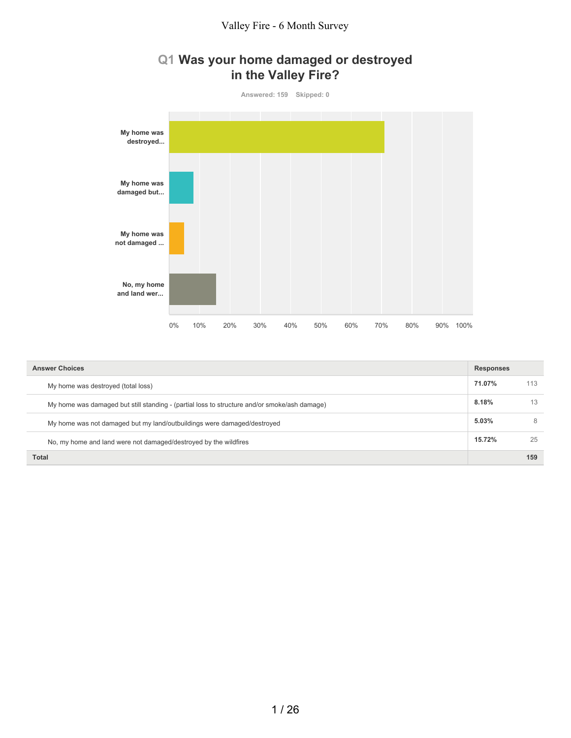#### **Q1 Was your home damaged or destroyed in the Valley Fire?**



| <b>Answer Choices</b>                                                                        | <b>Responses</b> |     |
|----------------------------------------------------------------------------------------------|------------------|-----|
| My home was destroyed (total loss)                                                           | 71.07%           | 113 |
| My home was damaged but still standing - (partial loss to structure and/or smoke/ash damage) | 8.18%            | 13  |
| My home was not damaged but my land/outbuildings were damaged/destroyed                      | 5.03%            | 8   |
| No, my home and land were not damaged/destroyed by the wildfires                             | 15.72%           | 25  |
| <b>Total</b>                                                                                 |                  | 159 |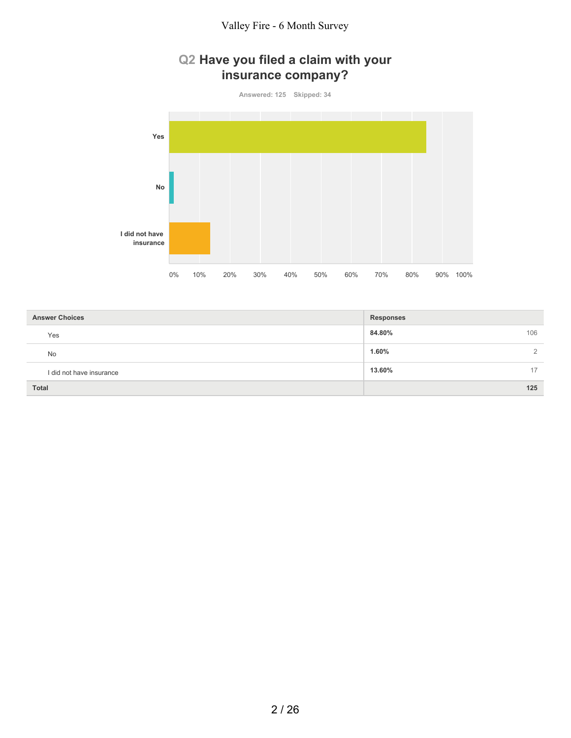# **Q2 Have you filed a claim with your insurance company?**

**Answered: 125 Skipped: 34**



| <b>Answer Choices</b>    | <b>Responses</b>       |
|--------------------------|------------------------|
| Yes                      | 84.80%<br>106          |
| <b>No</b>                | 1.60%<br>$\mathcal{L}$ |
| I did not have insurance | 13.60%<br>17           |
| <b>Total</b>             | 125                    |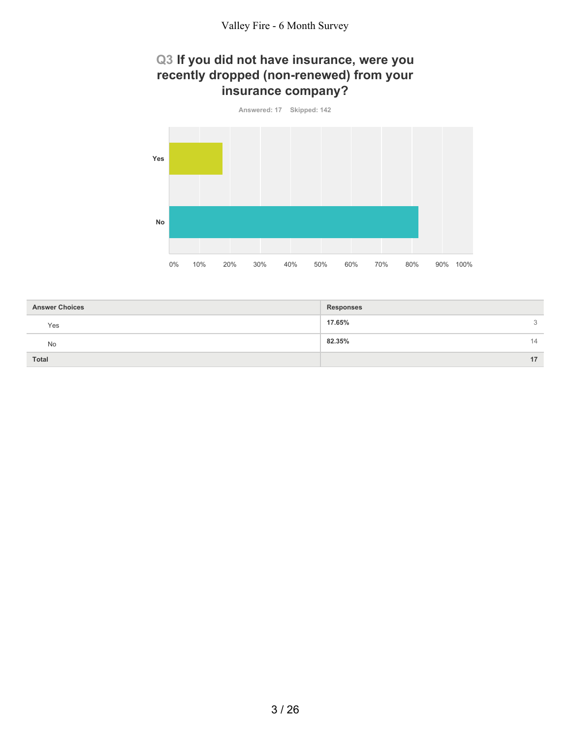#### **Q3 If you did not have insurance, were you recently dropped (non-renewed) from your insurance company?**



| <b>Answer Choices</b> | <b>Responses</b> |
|-----------------------|------------------|
| Yes                   | 17.65%<br>3      |
| <b>No</b>             | 82.35%<br>14     |
| <b>Total</b>          | 17               |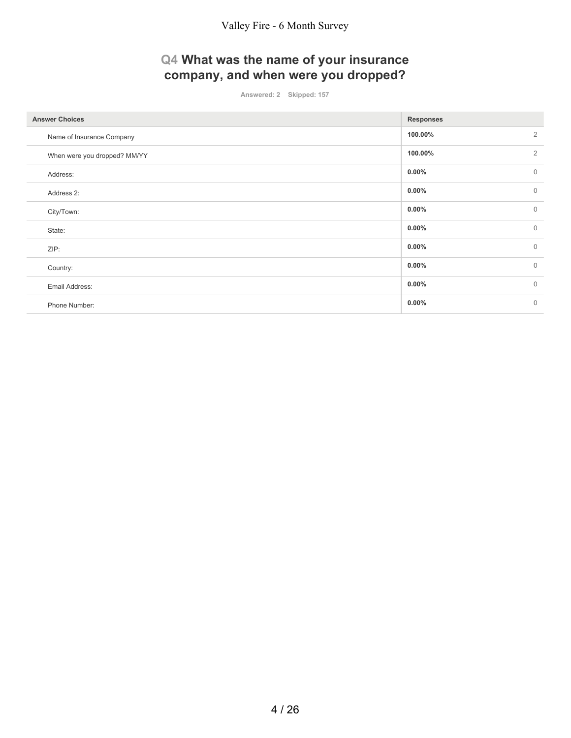# **Q4 What was the name of your insurance company, and when were you dropped?**

**Answered: 2 Skipped: 157**

| <b>Answer Choices</b>        | <b>Responses</b> |                |
|------------------------------|------------------|----------------|
| Name of Insurance Company    | 100.00%          | $\overline{2}$ |
| When were you dropped? MM/YY | 100.00%          | $\overline{2}$ |
| Address:                     | $0.00\%$         | $\mathbf{0}$   |
| Address 2:                   | $0.00\%$         | $\mathbf 0$    |
| City/Town:                   | $0.00\%$         | $\mathbf{0}$   |
| State:                       | $0.00\%$         | $\mathbf{0}$   |
| ZIP:                         | $0.00\%$         | $\mathbf{0}$   |
| Country:                     | $0.00\%$         | $\mathbf{0}$   |
| Email Address:               | $0.00\%$         | $\mathbf{0}$   |
| Phone Number:                | 0.00%            | $\mathbf{0}$   |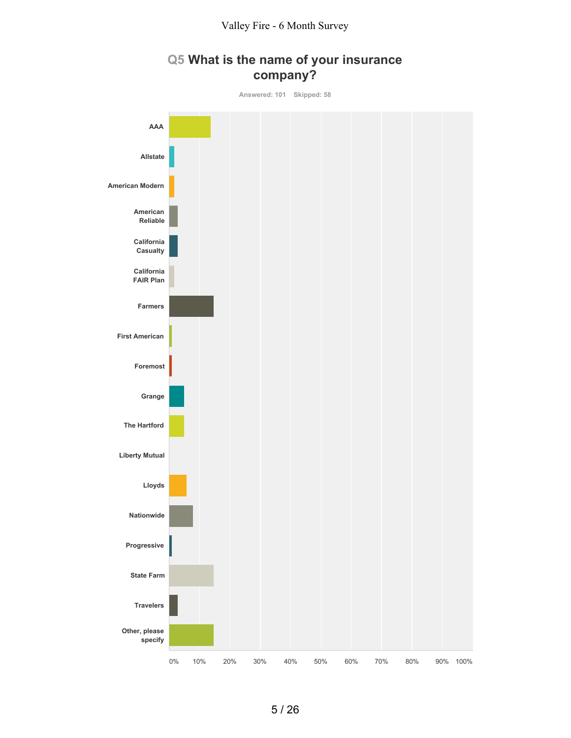

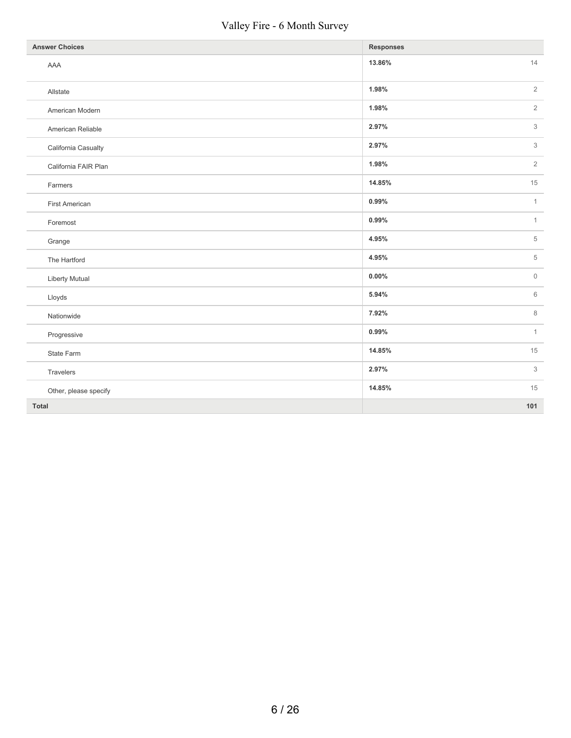#### Valley Fire - 6 Month Survey

| <b>Answer Choices</b> | <b>Responses</b>                |
|-----------------------|---------------------------------|
| AAA                   | 13.86%<br>14                    |
| Allstate              | $\sqrt{2}$<br>1.98%             |
| American Modern       | $\overline{2}$<br>1.98%         |
| American Reliable     | 3<br>2.97%                      |
| California Casualty   | $\,$ 3 $\,$<br>2.97%            |
| California FAIR Plan  | $\overline{2}$<br>1.98%         |
| Farmers               | 15<br>14.85%                    |
| <b>First American</b> | $\mathbf{1}$<br>0.99%           |
| Foremost              | 0.99%<br>$\mathbf{1}$           |
| Grange                | 5<br>4.95%                      |
| The Hartford          | 5<br>4.95%                      |
| <b>Liberty Mutual</b> | $0.00\%$<br>$\mathsf{O}\xspace$ |
| Lloyds                | $\,6$<br>5.94%                  |
| Nationwide            | 8<br>7.92%                      |
| Progressive           | 0.99%<br>$\mathbf{1}$           |
| State Farm            | 14.85%<br>15                    |
| Travelers             | 2.97%<br>3                      |
| Other, please specify | 14.85%<br>15                    |
| Total                 | 101                             |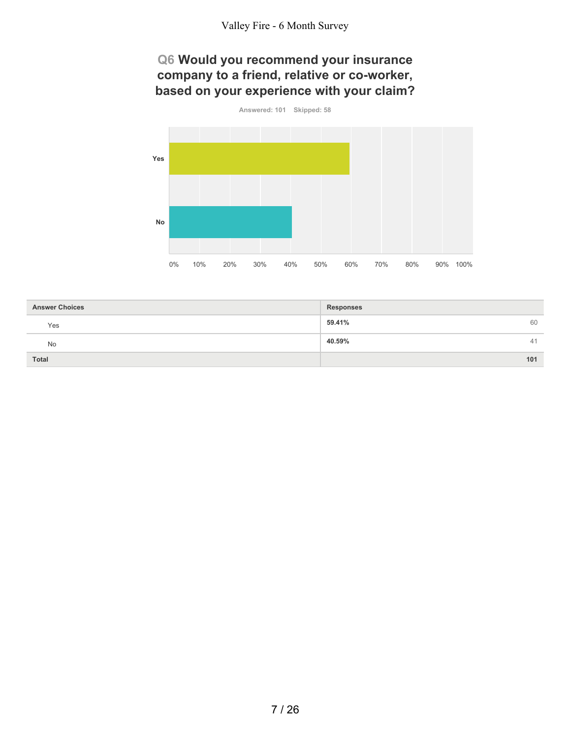## **Q6 Would you recommend your insurance company to a friend, relative or co-worker, based on your experience with your claim?**



| <b>Answer Choices</b> | <b>Responses</b> |
|-----------------------|------------------|
| Yes                   | 59.41%<br>60     |
| <b>No</b>             | 40.59%<br>41     |
| <b>Total</b>          | 101              |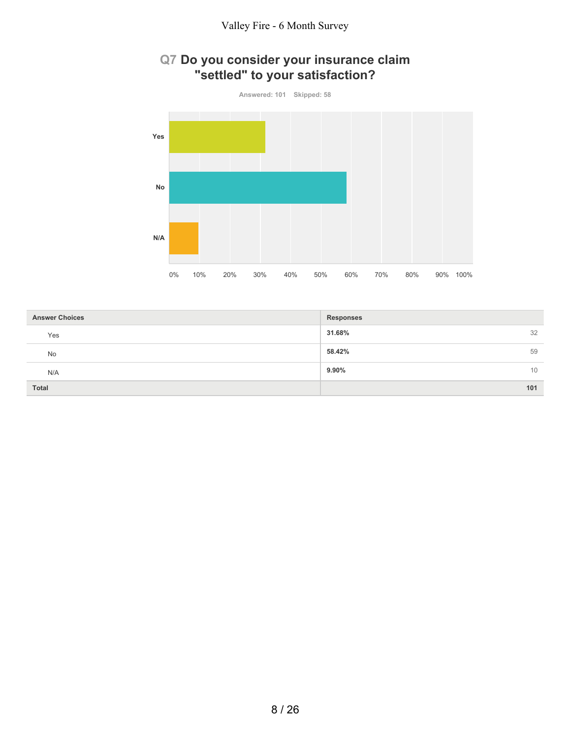

# **Q7 Do you consider your insurance claim "settled" to your satisfaction?**

| <b>Answer Choices</b> | <b>Responses</b> |
|-----------------------|------------------|
| Yes                   | 31.68%<br>32     |
| No                    | 58.42%<br>59     |
| N/A                   | $9.90\%$<br>10   |
| <b>Total</b>          | 101              |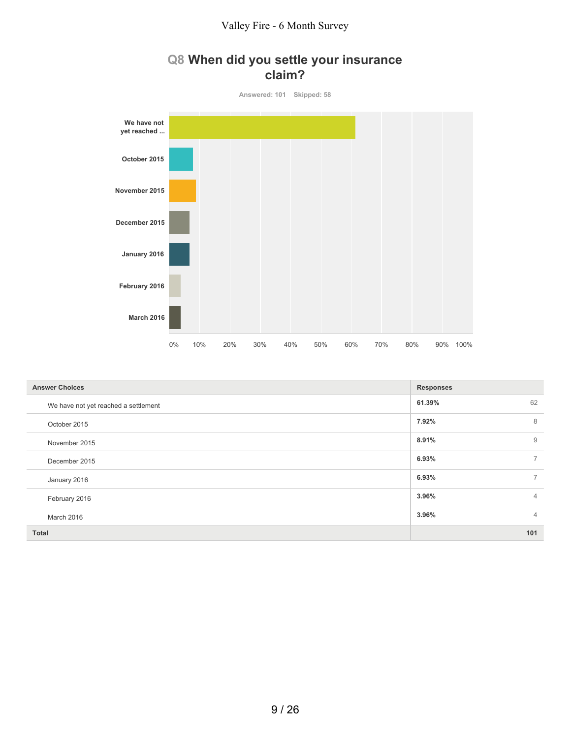## **Q8 When did you settle your insurance claim?**



| <b>Answer Choices</b>                | <b>Responses</b> |                |
|--------------------------------------|------------------|----------------|
| We have not yet reached a settlement | 61.39%           | 62             |
| October 2015                         | 7.92%            | 8              |
| November 2015                        | 8.91%            | 9              |
| December 2015                        | 6.93%            | $\overline{7}$ |
| January 2016                         | 6.93%            | $\overline{7}$ |
| February 2016                        | 3.96%            | $\overline{4}$ |
| March 2016                           | 3.96%            | $\overline{4}$ |
| <b>Total</b>                         |                  | 101            |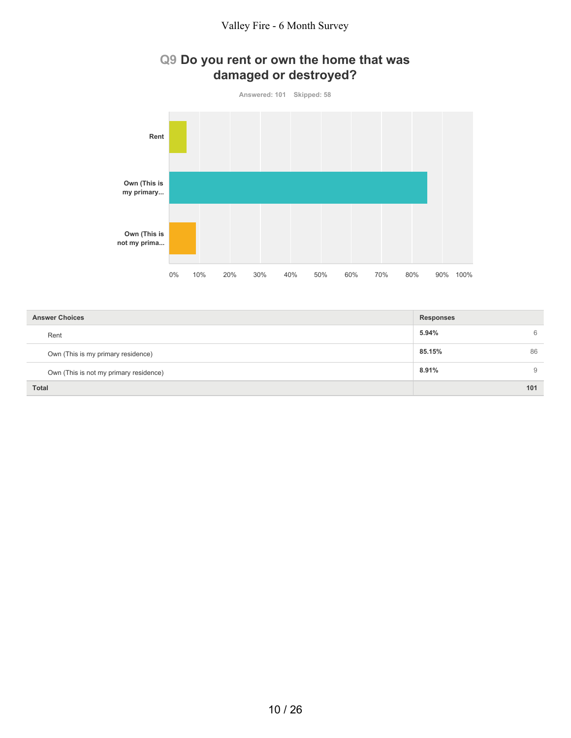

| <b>Answer Choices</b>                  | <b>Responses</b> |    |
|----------------------------------------|------------------|----|
| Rent                                   | 5.94%            | 6  |
| Own (This is my primary residence)     | 85.15%           | 86 |
| Own (This is not my primary residence) | 8.91%            | 9  |
| <b>Total</b>                           | 101              |    |

10 / 26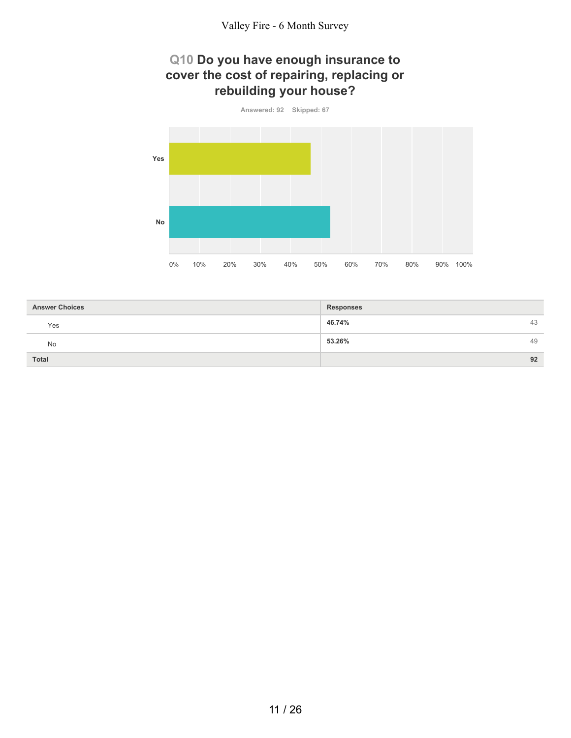#### **Q10 Do you have enough insurance to cover the cost of repairing, replacing or rebuilding your house?**



| <b>Answer Choices</b> | <b>Responses</b> |    |
|-----------------------|------------------|----|
| Yes                   | 46.74%           | 43 |
| No                    | 53.26%           | 49 |
| <b>Total</b>          |                  | 92 |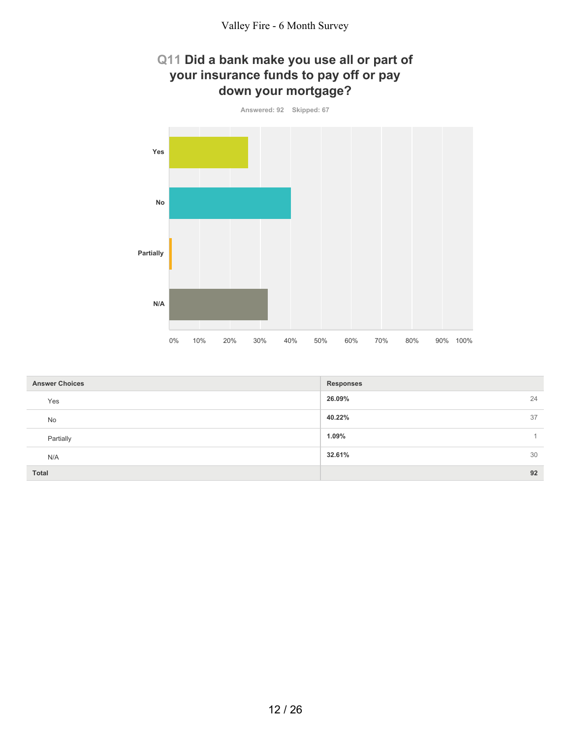## **Q11 Did a bank make you use all or part of your insurance funds to pay off or pay down your mortgage?**



| <b>Answer Choices</b> | <b>Responses</b> |
|-----------------------|------------------|
| Yes                   | 26.09%<br>24     |
| No                    | 37<br>40.22%     |
| Partially             | 1.09%            |
| N/A                   | 30<br>32.61%     |
| <b>Total</b>          | 92               |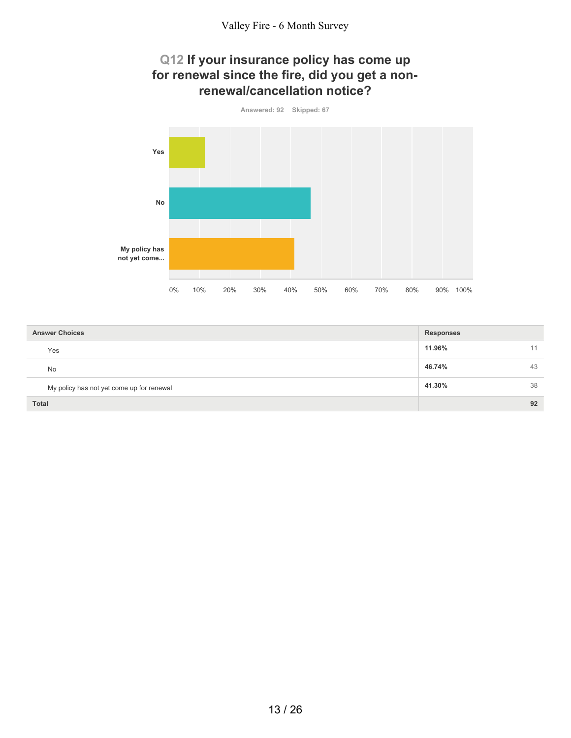#### **Q12 If your insurance policy has come up for renewal since the fire, did you get a nonrenewal/cancellation notice?**



| <b>Answer Choices</b>                     | <b>Responses</b> |
|-------------------------------------------|------------------|
| Yes                                       | 11.96%<br>11     |
| <b>No</b>                                 | 46.74%<br>43     |
| My policy has not yet come up for renewal | 38<br>41.30%     |
| <b>Total</b>                              | 92               |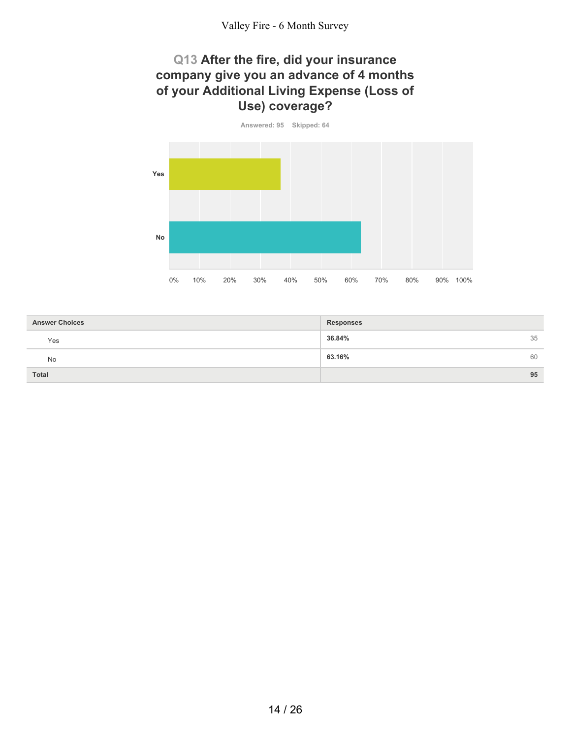#### **Q13 After the fire, did your insurance company give you an advance of 4 months of your Additional Living Expense (Loss of Use) coverage?**



| <b>Answer Choices</b> | <b>Responses</b> |    |
|-----------------------|------------------|----|
| Yes                   | 36.84%           | 35 |
| No                    | 63.16%           | 60 |
| <b>Total</b>          |                  | 95 |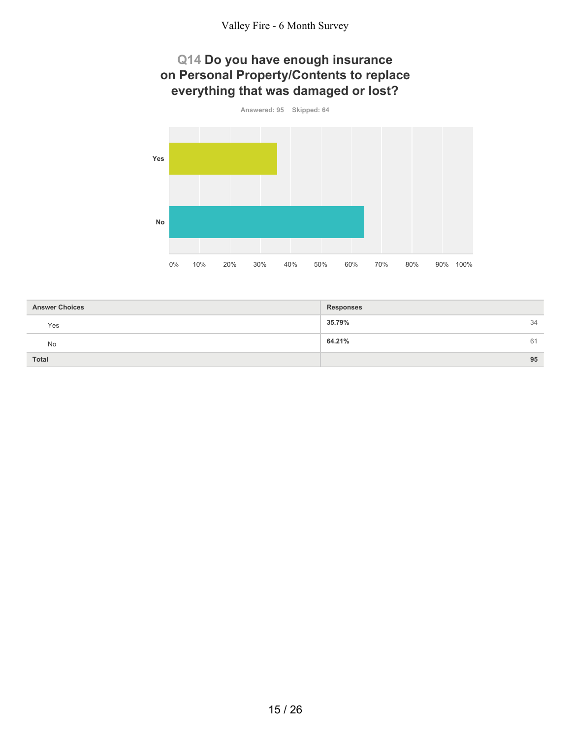# **Q14 Do you have enough insurance on Personal Property/Contents to replace everything that was damaged or lost?**



| <b>Answer Choices</b> | <b>Responses</b> |    |
|-----------------------|------------------|----|
| Yes                   | 35.79%           | 34 |
| <b>No</b>             | 64.21%           | 61 |
| <b>Total</b>          |                  | 95 |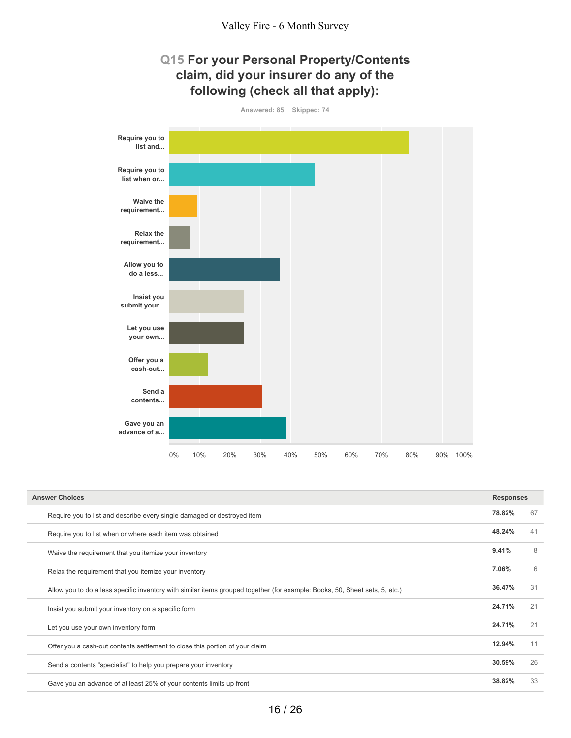### **Q15 For your Personal Property/Contents claim, did your insurer do any of the following (check all that apply):**



| <b>Answer Choices</b>                                                                                                       | <b>Responses</b> |    |
|-----------------------------------------------------------------------------------------------------------------------------|------------------|----|
| Require you to list and describe every single damaged or destroyed item                                                     | 78.82%           | 67 |
| Require you to list when or where each item was obtained                                                                    | 48.24%           | 41 |
| Waive the requirement that you itemize your inventory                                                                       | 9.41%            | 8  |
| Relax the requirement that you itemize your inventory                                                                       | 7.06%            | 6  |
| Allow you to do a less specific inventory with similar items grouped together (for example: Books, 50, Sheet sets, 5, etc.) | 36.47%           | 31 |
| Insist you submit your inventory on a specific form                                                                         | 24.71%           | 21 |
| Let you use your own inventory form                                                                                         | 24.71%           | 21 |
| Offer you a cash-out contents settlement to close this portion of your claim                                                | 12.94%           | 11 |
| Send a contents "specialist" to help you prepare your inventory                                                             | 30.59%           | 26 |
| Gave you an advance of at least 25% of your contents limits up front                                                        | 38.82%           | 33 |
|                                                                                                                             |                  |    |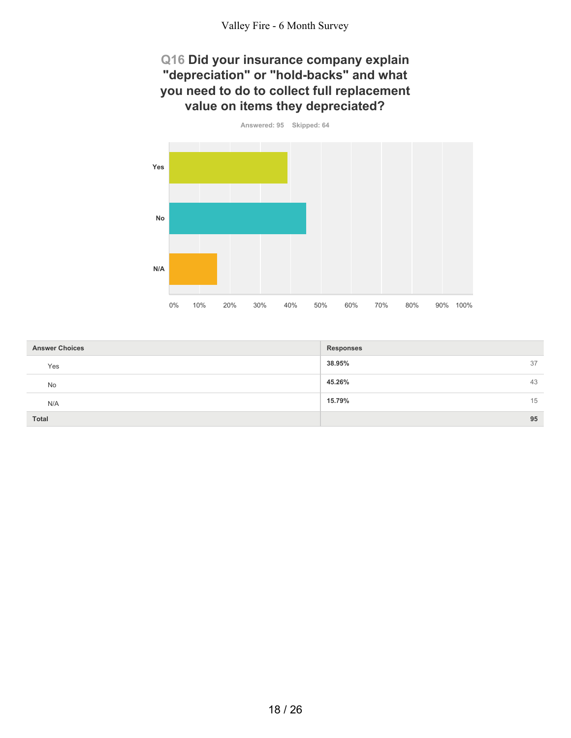## **Q16 Did your insurance company explain "depreciation" or "hold-backs" and what you need to do to collect full replacement value on items they depreciated?**



| <b>Answer Choices</b> | <b>Responses</b> |
|-----------------------|------------------|
| Yes                   | 38.95%<br>37     |
| <b>No</b>             | 45.26%<br>43     |
| N/A                   | 15<br>15.79%     |
| <b>Total</b>          | 95               |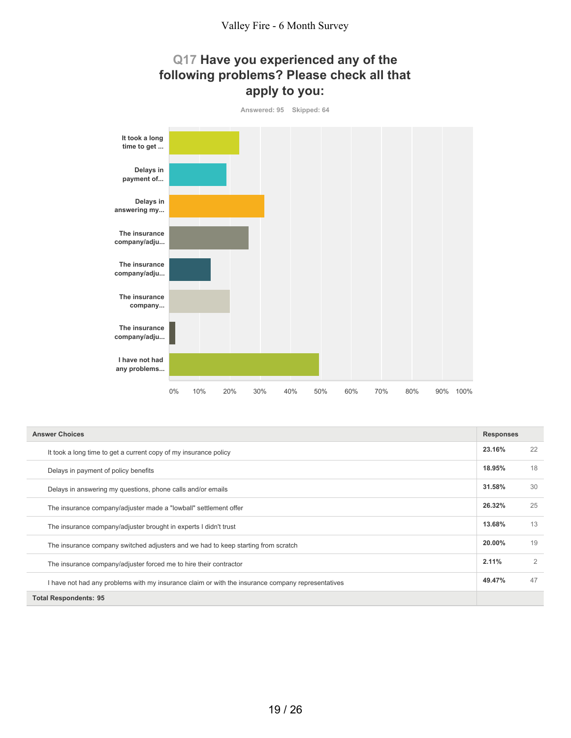## **Q17 Have you experienced any of the following problems? Please check all that apply to you:**



| <b>Answer Choices</b>                                                                             |        | <b>Responses</b> |  |
|---------------------------------------------------------------------------------------------------|--------|------------------|--|
| It took a long time to get a current copy of my insurance policy                                  | 23.16% | 22               |  |
| Delays in payment of policy benefits                                                              | 18.95% | 18               |  |
| Delays in answering my questions, phone calls and/or emails                                       | 31.58% | 30               |  |
| The insurance company/adjuster made a "lowball" settlement offer                                  | 26.32% | 25               |  |
| The insurance company/adjuster brought in experts I didn't trust                                  | 13.68% | 13               |  |
| The insurance company switched adjusters and we had to keep starting from scratch                 | 20.00% | 19               |  |
| The insurance company/adjuster forced me to hire their contractor                                 | 2.11%  | $\mathfrak{D}$   |  |
| I have not had any problems with my insurance claim or with the insurance company representatives | 49.47% | 47               |  |
| <b>Total Respondents: 95</b>                                                                      |        |                  |  |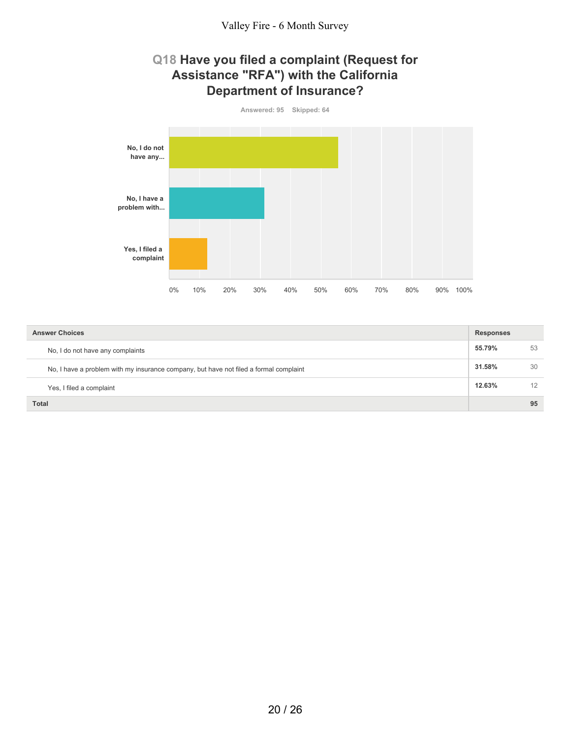#### **Q18 Have you filed a complaint (Request for Assistance "RFA") with the California Department of Insurance?**



| <b>Answer Choices</b>                                                                 | <b>Responses</b> |    |
|---------------------------------------------------------------------------------------|------------------|----|
| No, I do not have any complaints                                                      | 55.79%           | 53 |
| No, I have a problem with my insurance company, but have not filed a formal complaint | 31.58%           | 30 |
| Yes, I filed a complaint                                                              | 12.63%           | 12 |
| <b>Total</b>                                                                          |                  | 95 |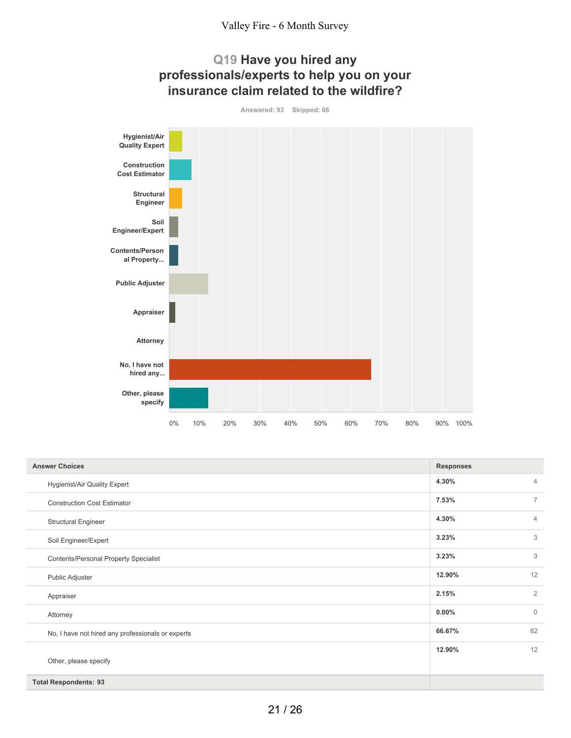





| <b>Answer Choices</b>                             | <b>Responses</b> |                |
|---------------------------------------------------|------------------|----------------|
| <b>Hygienist/Air Quality Expert</b>               | 4.30%            | $\overline{4}$ |
| <b>Construction Cost Estimator</b>                | 7.53%            | $\overline{7}$ |
| <b>Structural Engineer</b>                        | 4.30%            | $\overline{4}$ |
| Soil Engineer/Expert                              | 3.23%            | 3              |
| <b>Contents/Personal Property Specialist</b>      | 3.23%            | 3              |
| Public Adjuster                                   | 12.90%           | 12             |
| Appraiser                                         | 2.15%            | $\overline{2}$ |
| Attorney                                          | $0.00\%$         | $\mathbf{0}$   |
| No, I have not hired any professionals or experts | 66.67%           | 62             |
|                                                   | 12.90%           | 12             |
| Other, please specify                             |                  |                |
| <b>Total Respondents: 93</b>                      |                  |                |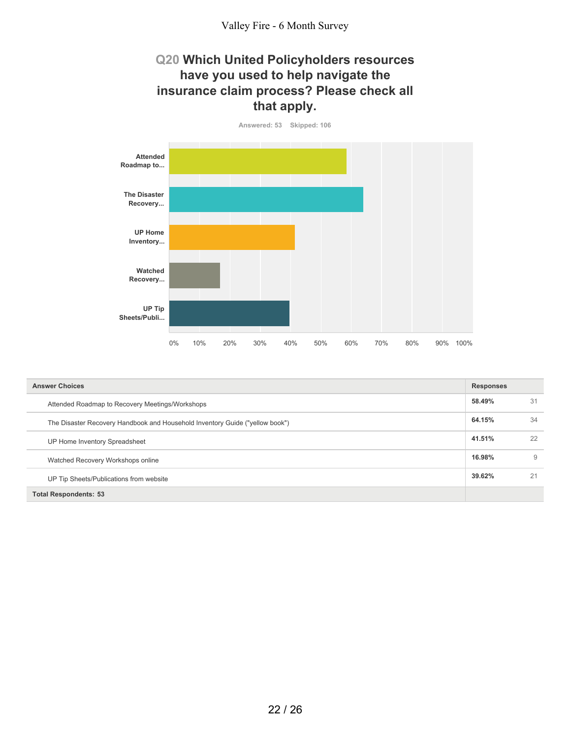## **Q20 Which United Policyholders resources have you used to help navigate the insurance claim process? Please check all that apply.**



| <b>Answer Choices</b>                                                        |        | <b>Responses</b> |  |
|------------------------------------------------------------------------------|--------|------------------|--|
| Attended Roadmap to Recovery Meetings/Workshops                              | 58.49% | 31               |  |
| The Disaster Recovery Handbook and Household Inventory Guide ("yellow book") | 64.15% | 34               |  |
| UP Home Inventory Spreadsheet                                                | 41.51% | 22               |  |
| Watched Recovery Workshops online                                            | 16.98% | 9                |  |
| UP Tip Sheets/Publications from website                                      | 39.62% | 21               |  |
| <b>Total Respondents: 53</b>                                                 |        |                  |  |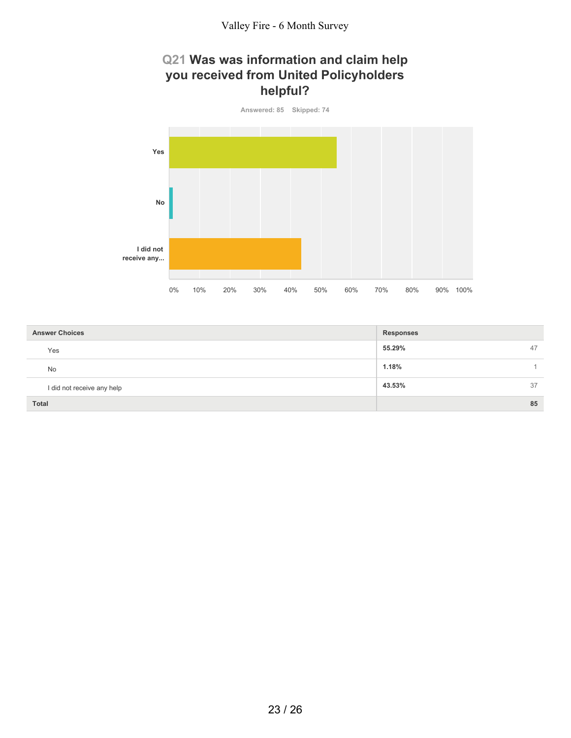## **Q21 Was was information and claim help you received from United Policyholders helpful?**



| <b>Answer Choices</b>      | <b>Responses</b> |
|----------------------------|------------------|
| Yes                        | 55.29%<br>47     |
| <b>No</b>                  | 1.18%            |
| I did not receive any help | 43.53%<br>37     |
| <b>Total</b>               | 85               |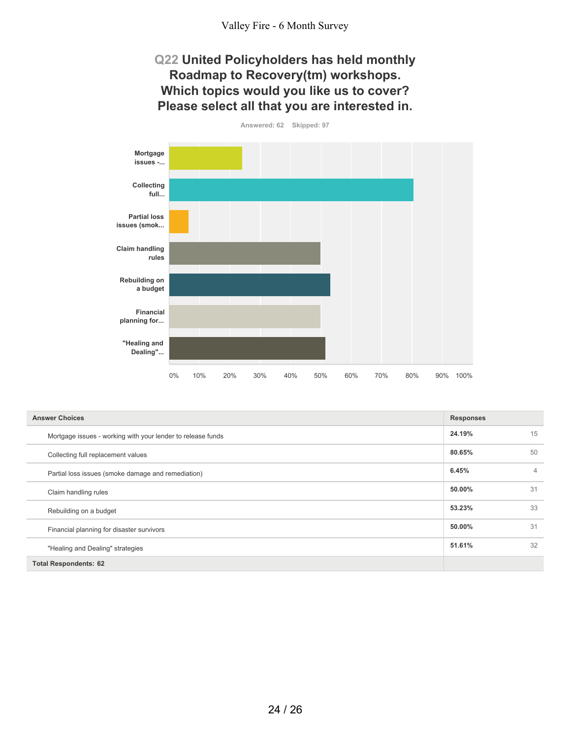## **Q22 United Policyholders has held monthly Roadmap to Recovery(tm) workshops. Which topics would you like us to cover? Please select all that you are interested in.**

**Answered: 62 Skipped: 97 Mortgage issues -... Collecting full... Partial loss issues (smok... Claim handling rules Rebuilding on a budget Financial planning for... "Healing and Dealing"...** 0% 10% 20% 30% 40% 50% 60% 70% 80% 90% 100%

| <b>Answer Choices</b>                                       | <b>Responses</b> |                |
|-------------------------------------------------------------|------------------|----------------|
| Mortgage issues - working with your lender to release funds | 24.19%           | 15             |
| Collecting full replacement values                          | 80.65%           | 50             |
| Partial loss issues (smoke damage and remediation)          | 6.45%            | $\overline{4}$ |
| Claim handling rules                                        | 50.00%           | 31             |
| Rebuilding on a budget                                      | 53.23%           | 33             |
| Financial planning for disaster survivors                   | 50.00%           | 31             |
| "Healing and Dealing" strategies                            | 51.61%           | 32             |
| <b>Total Respondents: 62</b>                                |                  |                |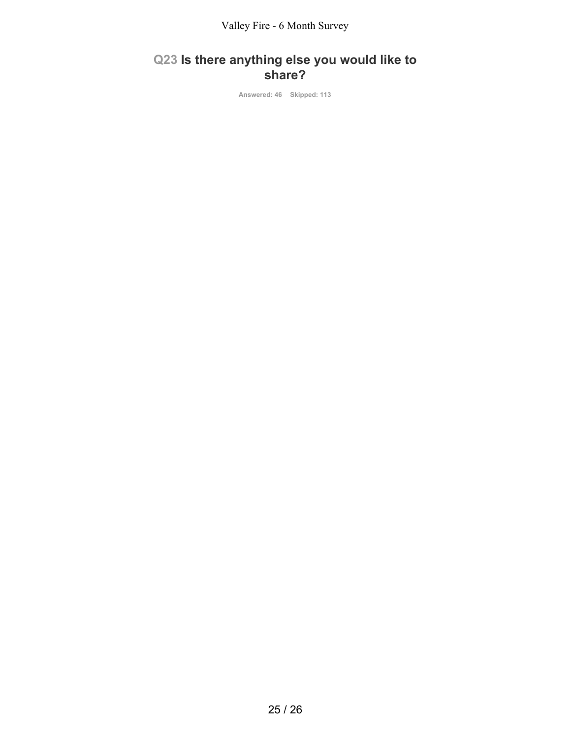Valley Fire - 6 Month Survey

# **Q23 Is there anything else you would like to share?**

**Answered: 46 Skipped: 113**